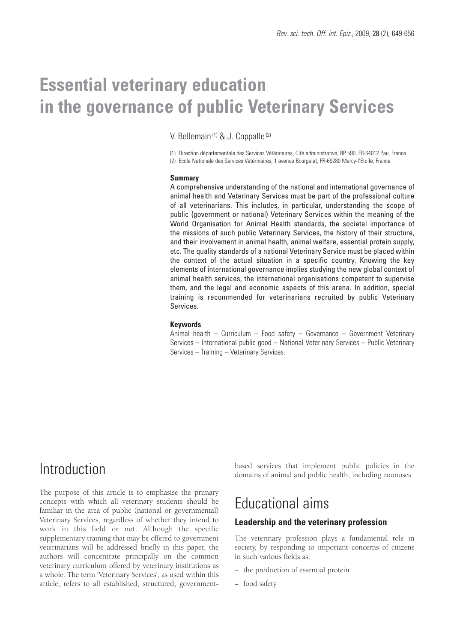# **Essential veterinary education in the governance of public Veterinary Services**

V. Bellemain (1) & J. Coppalle (2)

(1) Direction départementale des Services Vétérinaires, Cité administrative, BP 590, FR-64012 Pau, France (2) Ecole Nationale des Services Vétérinaires, 1 avenue Bourgelat, FR-69280 Marcy-l'Etoile, France

#### **Summary**

A comprehensive understanding of the national and international governance of animal health and Veterinary Services must be part of the professional culture of all veterinarians. This includes, in particular, understanding the scope of public (government or national) Veterinary Services within the meaning of the World Organisation for Animal Health standards, the societal importance of the missions of such public Veterinary Services, the history of their structure, and their involvement in animal health, animal welfare, essential protein supply, etc. The quality standards of a national Veterinary Service must be placed within the context of the actual situation in a specific country. Knowing the key elements of international governance implies studying the new global context of animal health services, the international organisations competent to supervise them, and the legal and economic aspects of this arena. In addition, special training is recommended for veterinarians recruited by public Veterinary Services.

#### **Keywords**

Animal health – Curriculum – Food safety – Governance – Government Veterinary Services – International public good – National Veterinary Services – Public Veterinary Services – Training – Veterinary Services.

## Introduction

The purpose of this article is to emphasise the primary concepts with which all veterinary students should be familiar in the area of public (national or governmental) Veterinary Services, regardless of whether they intend to work in this field or not. Although the specific supplementary training that may be offered to government veterinarians will be addressed briefly in this paper, the authors will concentrate principally on the common veterinary curriculum offered by veterinary institutions as a whole. The term 'Veterinary Services', as used within this article, refers to all established, structured, governmentbased services that implement public policies in the domains of animal and public health, including zoonoses.

## Educational aims

### **Leadership and the veterinary profession**

The veterinary profession plays a fundamental role in society, by responding to important concerns of citizens in such various fields as:

- − the production of essential protein
- − food safety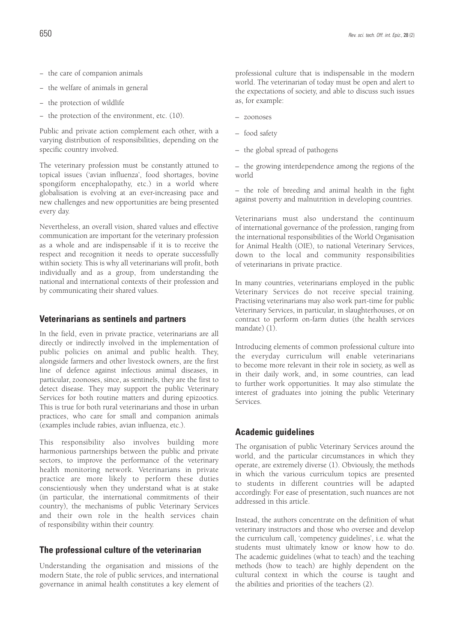- − the care of companion animals
- − the welfare of animals in general
- − the protection of wildlife
- − the protection of the environment, etc. (10).

Public and private action complement each other, with a varying distribution of responsibilities, depending on the specific country involved.

The veterinary profession must be constantly attuned to topical issues ('avian influenza', food shortages, bovine spongiform encephalopathy, etc.) in a world where globalisation is evolving at an ever-increasing pace and new challenges and new opportunities are being presented every day.

Nevertheless, an overall vision, shared values and effective communication are important for the veterinary profession as a whole and are indispensable if it is to receive the respect and recognition it needs to operate successfully within society. This is why all veterinarians will profit, both individually and as a group, from understanding the national and international contexts of their profession and by communicating their shared values.

#### **Veterinarians as sentinels and partners**

In the field, even in private practice, veterinarians are all directly or indirectly involved in the implementation of public policies on animal and public health. They, alongside farmers and other livestock owners, are the first line of defence against infectious animal diseases, in particular, zoonoses, since, as sentinels, they are the first to detect disease. They may support the public Veterinary Services for both routine matters and during epizootics. This is true for both rural veterinarians and those in urban practices, who care for small and companion animals (examples include rabies, avian influenza, etc.).

This responsibility also involves building more harmonious partnerships between the public and private sectors, to improve the performance of the veterinary health monitoring network. Veterinarians in private practice are more likely to perform these duties conscientiously when they understand what is at stake (in particular, the international commitments of their country), the mechanisms of public Veterinary Services and their own role in the health services chain of responsibility within their country.

#### **The professional culture of the veterinarian**

Understanding the organisation and missions of the modern State, the role of public services, and international governance in animal health constitutes a key element of

professional culture that is indispensable in the modern world. The veterinarian of today must be open and alert to the expectations of society, and able to discuss such issues as, for example:

- zoonoses
- food safety
- the global spread of pathogens

– the growing interdependence among the regions of the world

– the role of breeding and animal health in the fight against poverty and malnutrition in developing countries.

Veterinarians must also understand the continuum of international governance of the profession, ranging from the international responsibilities of the World Organisation for Animal Health (OIE), to national Veterinary Services, down to the local and community responsibilities of veterinarians in private practice.

In many countries, veterinarians employed in the public Veterinary Services do not receive special training. Practising veterinarians may also work part-time for public Veterinary Services, in particular, in slaughterhouses, or on contract to perform on-farm duties (the health services mandate) (1).

Introducing elements of common professional culture into the everyday curriculum will enable veterinarians to become more relevant in their role in society, as well as in their daily work, and, in some countries, can lead to further work opportunities. It may also stimulate the interest of graduates into joining the public Veterinary Services.

### **Academic guidelines**

The organisation of public Veterinary Services around the world, and the particular circumstances in which they operate, are extremely diverse (1). Obviously, the methods in which the various curriculum topics are presented to students in different countries will be adapted accordingly. For ease of presentation, such nuances are not addressed in this article.

Instead, the authors concentrate on the definition of what veterinary instructors and those who oversee and develop the curriculum call, 'competency guidelines', i.e. what the students must ultimately know or know how to do. The academic guidelines (what to teach) and the teaching methods (how to teach) are highly dependent on the cultural context in which the course is taught and the abilities and priorities of the teachers (2).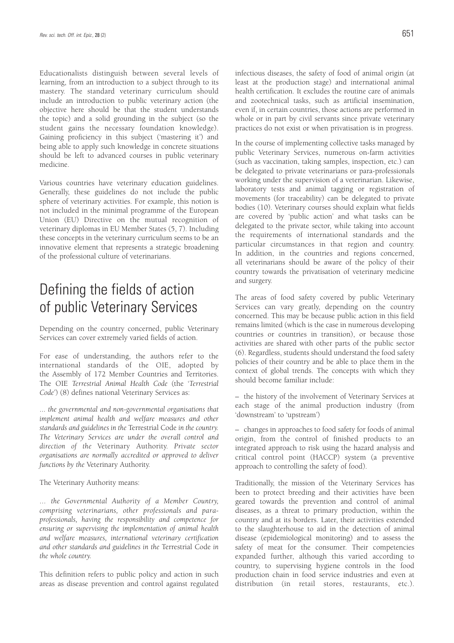Educationalists distinguish between several levels of learning, from an introduction to a subject through to its mastery. The standard veterinary curriculum should include an introduction to public veterinary action (the objective here should be that the student understands the topic) and a solid grounding in the subject (so the student gains the necessary foundation knowledge). Gaining proficiency in this subject ('mastering it') and being able to apply such knowledge in concrete situations should be left to advanced courses in public veterinary medicine.

Various countries have veterinary education guidelines. Generally, these guidelines do not include the public sphere of veterinary activities. For example, this notion is not included in the minimal programme of the European Union (EU) Directive on the mutual recognition of veterinary diplomas in EU Member States (5, 7). Including these concepts in the veterinary curriculum seems to be an innovative element that represents a strategic broadening of the professional culture of veterinarians.

## Defining the fields of action of public Veterinary Services

Depending on the country concerned, public Veterinary Services can cover extremely varied fields of action.

For ease of understanding, the authors refer to the international standards of the OIE, adopted by the Assembly of 172 Member Countries and Territories. The OIE *Terrestrial Animal Health Code* (the '*Terrestrial Code*') (8) defines national Veterinary Services as:

... *the governmental and non-governmental organisations that implement animal health and welfare measures and other standards and guidelines in the* Terrestrial Code *in the country. The Veterinary Services are under the overall control and direction of the* Veterinary Authority. *Private sector organisations are normally accredited or approved to deliver functions by the* Veterinary Authority.

The Veterinary Authority means:

... *the Governmental Authority of a Member Country, comprising veterinarians, other professionals and paraprofessionals, having the responsibility and competence for ensuring or supervising the implementation of animal health and welfare measures, international veterinary certification and other standards and guidelines in the* Terrestrial Code *in the whole country.*

This definition refers to public policy and action in such areas as disease prevention and control against regulated infectious diseases, the safety of food of animal origin (at least at the production stage) and international animal health certification. It excludes the routine care of animals and zootechnical tasks, such as artificial insemination, even if, in certain countries, those actions are performed in whole or in part by civil servants since private veterinary practices do not exist or when privatisation is in progress.

In the course of implementing collective tasks managed by public Veterinary Services, numerous on-farm activities (such as vaccination, taking samples, inspection, etc.) can be delegated to private veterinarians or para-professionals working under the supervision of a veterinarian. Likewise, laboratory tests and animal tagging or registration of movements (for traceability) can be delegated to private bodies (10). Veterinary courses should explain what fields are covered by 'public action' and what tasks can be delegated to the private sector, while taking into account the requirements of international standards and the particular circumstances in that region and country. In addition, in the countries and regions concerned, all veterinarians should be aware of the policy of their country towards the privatisation of veterinary medicine and surgery.

The areas of food safety covered by public Veterinary Services can vary greatly, depending on the country concerned. This may be because public action in this field remains limited (which is the case in numerous developing countries or countries in transition), or because those activities are shared with other parts of the public sector (6). Regardless, students should understand the food safety policies of their country and be able to place them in the context of global trends. The concepts with which they should become familiar include:

– the history of the involvement of Veterinary Services at each stage of the animal production industry (from 'downstream' to 'upstream')

– changes in approaches to food safety for foods of animal origin, from the control of finished products to an integrated approach to risk using the hazard analysis and critical control point (HACCP) system (a preventive approach to controlling the safety of food).

Traditionally, the mission of the Veterinary Services has been to protect breeding and their activities have been geared towards the prevention and control of animal diseases, as a threat to primary production, within the country and at its borders. Later, their activities extended to the slaughterhouse to aid in the detection of animal disease (epidemiological monitoring) and to assess the safety of meat for the consumer. Their competencies expanded further, although this varied according to country, to supervising hygiene controls in the food production chain in food service industries and even at distribution (in retail stores, restaurants, etc.).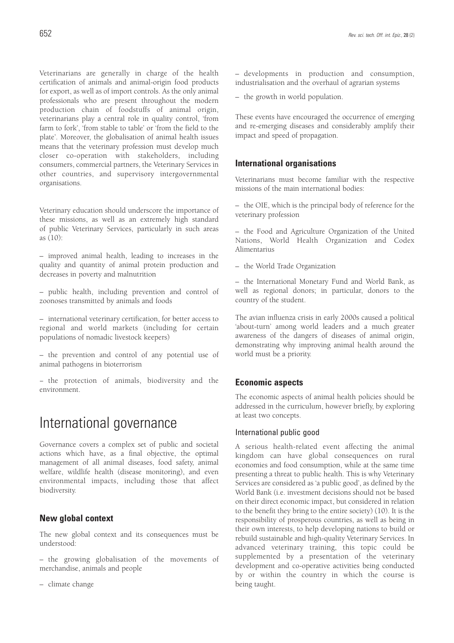Veterinarians are generally in charge of the health certification of animals and animal-origin food products for export, as well as of import controls. As the only animal professionals who are present throughout the modern production chain of foodstuffs of animal origin, veterinarians play a central role in quality control, 'from farm to fork', 'from stable to table' or 'from the field to the plate'. Moreover, the globalisation of animal health issues means that the veterinary profession must develop much closer co-operation with stakeholders, including consumers, commercial partners, the Veterinary Services in other countries, and supervisory intergovernmental organisations.

Veterinary education should underscore the importance of these missions, as well as an extremely high standard of public Veterinary Services, particularly in such areas as (10):

– improved animal health, leading to increases in the quality and quantity of animal protein production and decreases in poverty and malnutrition

– public health, including prevention and control of zoonoses transmitted by animals and foods

– international veterinary certification, for better access to regional and world markets (including for certain populations of nomadic livestock keepers)

– the prevention and control of any potential use of animal pathogens in bioterrorism

− the protection of animals, biodiversity and the environment.

## International governance

Governance covers a complex set of public and societal actions which have, as a final objective, the optimal management of all animal diseases, food safety, animal welfare, wildlife health (disease monitoring), and even environmental impacts, including those that affect biodiversity.

## **New global context**

The new global context and its consequences must be understood:

– the growing globalisation of the movements of merchandise, animals and people

– climate change

– developments in production and consumption, industrialisation and the overhaul of agrarian systems

– the growth in world population.

These events have encouraged the occurrence of emerging and re-emerging diseases and considerably amplify their impact and speed of propagation.

## **International organisations**

Veterinarians must become familiar with the respective missions of the main international bodies:

– the OIE, which is the principal body of reference for the veterinary profession

– the Food and Agriculture Organization of the United Nations, World Health Organization and Codex Alimentarius

– the World Trade Organization

– the International Monetary Fund and World Bank, as well as regional donors; in particular, donors to the country of the student.

The avian influenza crisis in early 2000s caused a political 'about-turn' among world leaders and a much greater awareness of the dangers of diseases of animal origin, demonstrating why improving animal health around the world must be a priority.

## **Economic aspects**

The economic aspects of animal health policies should be addressed in the curriculum, however briefly, by exploring at least two concepts.

### International public good

A serious health-related event affecting the animal kingdom can have global consequences on rural economies and food consumption, while at the same time presenting a threat to public health. This is why Veterinary Services are considered as 'a public good', as defined by the World Bank (i.e. investment decisions should not be based on their direct economic impact, but considered in relation to the benefit they bring to the entire society) (10). It is the responsibility of prosperous countries, as well as being in their own interests, to help developing nations to build or rebuild sustainable and high-quality Veterinary Services. In advanced veterinary training, this topic could be supplemented by a presentation of the veterinary development and co-operative activities being conducted by or within the country in which the course is being taught.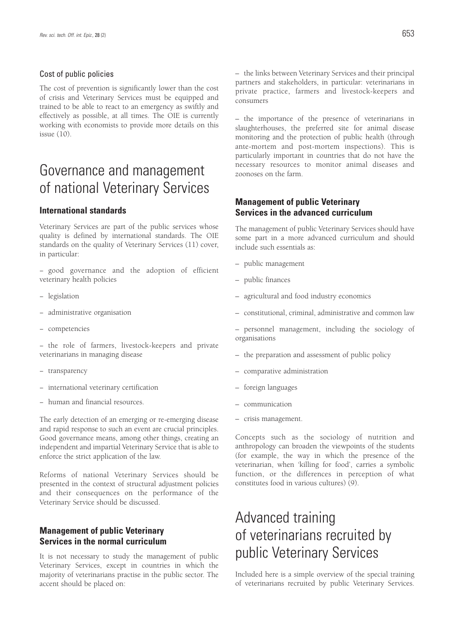#### Cost of public policies

The cost of prevention is significantly lower than the cost of crisis and Veterinary Services must be equipped and trained to be able to react to an emergency as swiftly and effectively as possible, at all times. The OIE is currently working with economists to provide more details on this issue (10).

## Governance and management of national Veterinary Services

### **International standards**

Veterinary Services are part of the public services whose quality is defined by international standards. The OIE standards on the quality of Veterinary Services (11) cover, in particular:

− good governance and the adoption of efficient veterinary health policies

- − legislation
- − administrative organisation
- − competencies

− the role of farmers, livestock-keepers and private veterinarians in managing disease

- − transparency
- − international veterinary certification
- − human and financial resources.

The early detection of an emerging or re-emerging disease and rapid response to such an event are crucial principles. Good governance means, among other things, creating an independent and impartial Veterinary Service that is able to enforce the strict application of the law.

Reforms of national Veterinary Services should be presented in the context of structural adjustment policies and their consequences on the performance of the Veterinary Service should be discussed.

### **Management of public Veterinary Services in the normal curriculum**

It is not necessary to study the management of public Veterinary Services, except in countries in which the majority of veterinarians practise in the public sector. The accent should be placed on:

– the links between Veterinary Services and their principal partners and stakeholders, in particular: veterinarians in private practice, farmers and livestock-keepers and consumers

– the importance of the presence of veterinarians in slaughterhouses, the preferred site for animal disease monitoring and the protection of public health (through ante-mortem and post-mortem inspections). This is particularly important in countries that do not have the necessary resources to monitor animal diseases and zoonoses on the farm.

### **Management of public Veterinary Services in the advanced curriculum**

The management of public Veterinary Services should have some part in a more advanced curriculum and should include such essentials as:

- public management
- public finances
- agricultural and food industry economics
- constitutional, criminal, administrative and common law
- personnel management, including the sociology of organisations
- the preparation and assessment of public policy
- comparative administration
- foreign languages
- communication
- crisis management.

Concepts such as the sociology of nutrition and anthropology can broaden the viewpoints of the students (for example, the way in which the presence of the veterinarian, when 'killing for food', carries a symbolic function, or the differences in perception of what constitutes food in various cultures) (9).

## Advanced training of veterinarians recruited by public Veterinary Services

Included here is a simple overview of the special training of veterinarians recruited by public Veterinary Services.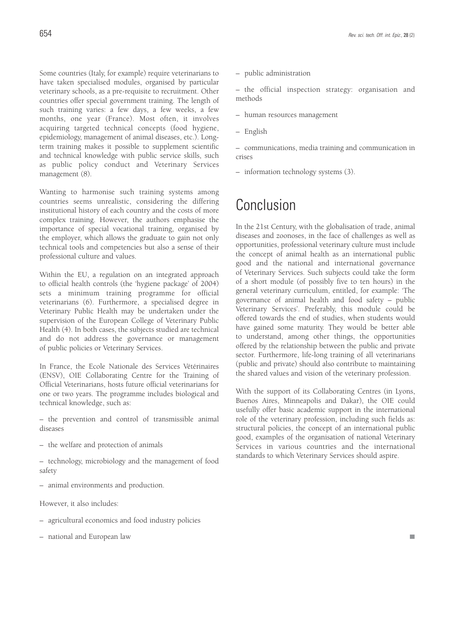Some countries (Italy, for example) require veterinarians to have taken specialised modules, organised by particular veterinary schools, as a pre-requisite to recruitment. Other countries offer special government training. The length of such training varies: a few days, a few weeks, a few months, one year (France). Most often, it involves acquiring targeted technical concepts (food hygiene, epidemiology, management of animal diseases, etc.). Longterm training makes it possible to supplement scientific and technical knowledge with public service skills, such as public policy conduct and Veterinary Services management (8).

Wanting to harmonise such training systems among countries seems unrealistic, considering the differing institutional history of each country and the costs of more complex training. However, the authors emphasise the importance of special vocational training, organised by the employer, which allows the graduate to gain not only technical tools and competencies but also a sense of their professional culture and values.

Within the EU, a regulation on an integrated approach to official health controls (the 'hygiene package' of 2004) sets a minimum training programme for official veterinarians (6). Furthermore, a specialised degree in Veterinary Public Health may be undertaken under the supervision of the European College of Veterinary Public Health (4). In both cases, the subjects studied are technical and do not address the governance or management of public policies or Veterinary Services.

In France, the Ecole Nationale des Services Vétérinaires (ENSV), OIE Collaborating Centre for the Training of Official Veterinarians, hosts future official veterinarians for one or two years. The programme includes biological and technical knowledge, such as:

- the prevention and control of transmissible animal diseases
- the welfare and protection of animals
- technology, microbiology and the management of food safety
- animal environments and production.
- However, it also includes:
- agricultural economics and food industry policies
- national and European law

– public administration

– the official inspection strategy: organisation and methods

- human resources management
- English

– communications, media training and communication in crises

– information technology systems (3).

## Conclusion

In the 21st Century, with the globalisation of trade, animal diseases and zoonoses, in the face of challenges as well as opportunities, professional veterinary culture must include the concept of animal health as an international public good and the national and international governance of Veterinary Services. Such subjects could take the form of a short module (of possibly five to ten hours) in the general veterinary curriculum, entitled, for example: 'The governance of animal health and food safety – public Veterinary Services'. Preferably, this module could be offered towards the end of studies, when students would have gained some maturity. They would be better able to understand, among other things, the opportunities offered by the relationship between the public and private sector. Furthermore, life-long training of all veterinarians (public and private) should also contribute to maintaining the shared values and vision of the veterinary profession.

With the support of its Collaborating Centres (in Lyons, Buenos Aires, Minneapolis and Dakar), the OIE could usefully offer basic academic support in the international role of the veterinary profession, including such fields as: structural policies, the concept of an international public good, examples of the organisation of national Veterinary Services in various countries and the international standards to which Veterinary Services should aspire.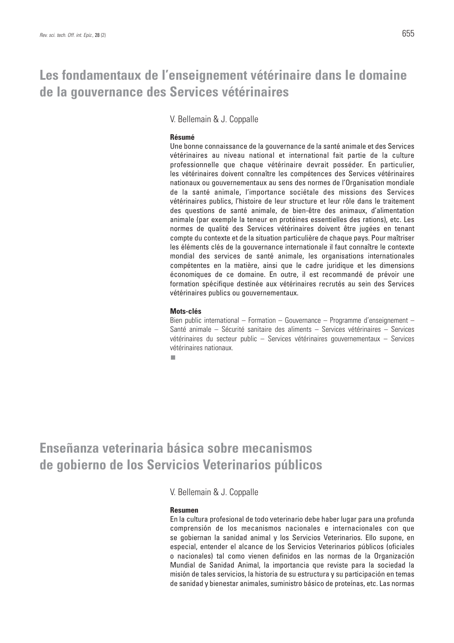## **Les fondamentaux de l'enseignement vétérinaire dans le domaine de la gouvernance des Services vétérinaires**

V. Bellemain & J. Coppalle

#### **Résumé**

Une bonne connaissance de la gouvernance de la santé animale et des Services vétérinaires au niveau national et international fait partie de la culture professionnelle que chaque vétérinaire devrait posséder. En particulier, les vétérinaires doivent connaître les compétences des Services vétérinaires nationaux ou gouvernementaux au sens des normes de l'Organisation mondiale de la santé animale, l'importance sociétale des missions des Services vétérinaires publics, l'histoire de leur structure et leur rôle dans le traitement des questions de santé animale, de bien-être des animaux, d'alimentation animale (par exemple la teneur en protéines essentielles des rations), etc. Les normes de qualité des Services vétérinaires doivent être jugées en tenant compte du contexte et de la situation particulière de chaque pays. Pour maîtriser les éléments clés de la gouvernance internationale il faut connaître le contexte mondial des services de santé animale, les organisations internationales compétentes en la matière, ainsi que le cadre juridique et les dimensions économiques de ce domaine. En outre, il est recommandé de prévoir une formation spécifique destinée aux vétérinaires recrutés au sein des Services vétérinaires publics ou gouvernementaux.

#### **Mots-clés**

Bien public international – Formation – Gouvernance – Programme d'enseignement – Santé animale – Sécurité sanitaire des aliments – Services vétérinaires – Services vétérinaires du secteur public – Services vétérinaires gouvernementaux – Services vétérinaires nationaux.

п

**Enseñanza veterinaria básica sobre mecanismos de gobierno de los Servicios Veterinarios públicos**

V. Bellemain & J. Coppalle

## **Resumen**

En la cultura profesional de todo veterinario debe haber lugar para una profunda comprensión de los mecanismos nacionales e internacionales con que se gobiernan la sanidad animal y los Servicios Veterinarios. Ello supone, en especial, entender el alcance de los Servicios Veterinarios públicos (oficiales o nacionales) tal como vienen definidos en las normas de la Organización Mundial de Sanidad Animal, la importancia que reviste para la sociedad la misión de tales servicios, la historia de su estructura y su participación en temas de sanidad y bienestar animales, suministro básico de proteínas, etc. Las normas